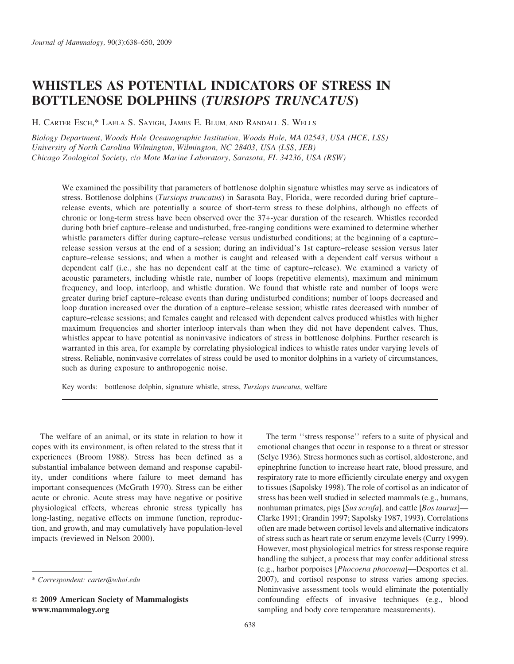# WHISTLES AS POTENTIAL INDICATORS OF STRESS IN BOTTLENOSE DOLPHINS (TURSIOPS TRUNCATUS)

H. CARTER ESCH,\* LAELA S. SAYIGH, JAMES E. BLUM, AND RANDALL S. WELLS

Biology Department, Woods Hole Oceanographic Institution, Woods Hole, MA 02543, USA (HCE, LSS) University of North Carolina Wilmington, Wilmington, NC 28403, USA (LSS, JEB) Chicago Zoological Society, c/o Mote Marine Laboratory, Sarasota, FL 34236, USA (RSW)

We examined the possibility that parameters of bottlenose dolphin signature whistles may serve as indicators of stress. Bottlenose dolphins (Tursiops truncatus) in Sarasota Bay, Florida, were recorded during brief capture– release events, which are potentially a source of short-term stress to these dolphins, although no effects of chronic or long-term stress have been observed over the 37+-year duration of the research. Whistles recorded during both brief capture–release and undisturbed, free-ranging conditions were examined to determine whether whistle parameters differ during capture–release versus undisturbed conditions; at the beginning of a capture– release session versus at the end of a session; during an individual's 1st capture–release session versus later capture–release sessions; and when a mother is caught and released with a dependent calf versus without a dependent calf (i.e., she has no dependent calf at the time of capture–release). We examined a variety of acoustic parameters, including whistle rate, number of loops (repetitive elements), maximum and minimum frequency, and loop, interloop, and whistle duration. We found that whistle rate and number of loops were greater during brief capture–release events than during undisturbed conditions; number of loops decreased and loop duration increased over the duration of a capture–release session; whistle rates decreased with number of capture–release sessions; and females caught and released with dependent calves produced whistles with higher maximum frequencies and shorter interloop intervals than when they did not have dependent calves. Thus, whistles appear to have potential as noninvasive indicators of stress in bottlenose dolphins. Further research is warranted in this area, for example by correlating physiological indices to whistle rates under varying levels of stress. Reliable, noninvasive correlates of stress could be used to monitor dolphins in a variety of circumstances, such as during exposure to anthropogenic noise.

Key words: bottlenose dolphin, signature whistle, stress, Tursiops truncatus, welfare

The welfare of an animal, or its state in relation to how it copes with its environment, is often related to the stress that it experiences (Broom 1988). Stress has been defined as a substantial imbalance between demand and response capability, under conditions where failure to meet demand has important consequences (McGrath 1970). Stress can be either acute or chronic. Acute stress may have negative or positive physiological effects, whereas chronic stress typically has long-lasting, negative effects on immune function, reproduction, and growth, and may cumulatively have population-level impacts (reviewed in Nelson 2000).

The term ''stress response'' refers to a suite of physical and emotional changes that occur in response to a threat or stressor (Selye 1936). Stress hormones such as cortisol, aldosterone, and epinephrine function to increase heart rate, blood pressure, and respiratory rate to more efficiently circulate energy and oxygen to tissues (Sapolsky 1998). The role of cortisol as an indicator of stress has been well studied in selected mammals (e.g., humans, nonhuman primates, pigs [Sus scrofa], and cattle [Bos taurus]— Clarke 1991; Grandin 1997; Sapolsky 1987, 1993). Correlations often are made between cortisol levels and alternative indicators of stress such as heart rate or serum enzyme levels (Curry 1999). However, most physiological metrics for stress response require handling the subject, a process that may confer additional stress (e.g., harbor porpoises [Phocoena phocoena]—Desportes et al. 2007), and cortisol response to stress varies among species. Noninvasive assessment tools would eliminate the potentially confounding effects of invasive techniques (e.g., blood sampling and body core temperature measurements).

<sup>\*</sup> Correspondent: carter@whoi.edu

E 2009 American Society of Mammalogists www.mammalogy.org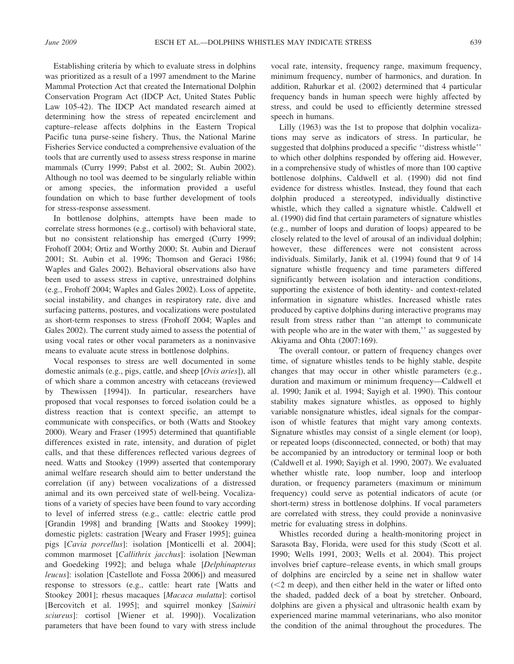Establishing criteria by which to evaluate stress in dolphins was prioritized as a result of a 1997 amendment to the Marine Mammal Protection Act that created the International Dolphin Conservation Program Act (IDCP Act, United States Public Law 105-42). The IDCP Act mandated research aimed at determining how the stress of repeated encirclement and capture–release affects dolphins in the Eastern Tropical Pacific tuna purse-seine fishery. Thus, the National Marine Fisheries Service conducted a comprehensive evaluation of the tools that are currently used to assess stress response in marine mammals (Curry 1999; Pabst et al. 2002; St. Aubin 2002). Although no tool was deemed to be singularly reliable within or among species, the information provided a useful foundation on which to base further development of tools for stress-response assessment.

In bottlenose dolphins, attempts have been made to correlate stress hormones (e.g., cortisol) with behavioral state, but no consistent relationship has emerged (Curry 1999; Frohoff 2004; Ortiz and Worthy 2000; St. Aubin and Dierauf 2001; St. Aubin et al. 1996; Thomson and Geraci 1986; Waples and Gales 2002). Behavioral observations also have been used to assess stress in captive, unrestrained dolphins (e.g., Frohoff 2004; Waples and Gales 2002). Loss of appetite, social instability, and changes in respiratory rate, dive and surfacing patterns, postures, and vocalizations were postulated as short-term responses to stress (Frohoff 2004; Waples and Gales 2002). The current study aimed to assess the potential of using vocal rates or other vocal parameters as a noninvasive means to evaluate acute stress in bottlenose dolphins.

Vocal responses to stress are well documented in some domestic animals (e.g., pigs, cattle, and sheep [Ovis aries]), all of which share a common ancestry with cetaceans (reviewed by Thewissen [1994]). In particular, researchers have proposed that vocal responses to forced isolation could be a distress reaction that is context specific, an attempt to communicate with conspecifics, or both (Watts and Stookey 2000). Weary and Fraser (1995) determined that quantifiable differences existed in rate, intensity, and duration of piglet calls, and that these differences reflected various degrees of need. Watts and Stookey (1999) asserted that contemporary animal welfare research should aim to better understand the correlation (if any) between vocalizations of a distressed animal and its own perceived state of well-being. Vocalizations of a variety of species have been found to vary according to level of inferred stress (e.g., cattle: electric cattle prod [Grandin 1998] and branding [Watts and Stookey 1999]; domestic piglets: castration [Weary and Fraser 1995]; guinea pigs [Cavia porcellus]: isolation [Monticelli et al. 2004]; common marmoset [Callithrix jacchus]: isolation [Newman] and Goedeking 1992]; and beluga whale [Delphinapterus leucus]: isolation [Castellote and Fossa 2006]) and measured response to stressors (e.g., cattle: heart rate [Watts and Stookey 2001]; rhesus macaques [Macaca mulatta]: cortisol [Bercovitch et al. 1995]; and squirrel monkey [Saimiri sciureus]: cortisol [Wiener et al. 1990]). Vocalization parameters that have been found to vary with stress include

vocal rate, intensity, frequency range, maximum frequency, minimum frequency, number of harmonics, and duration. In addition, Rahurkar et al. (2002) determined that 4 particular frequency bands in human speech were highly affected by stress, and could be used to efficiently determine stressed speech in humans.

Lilly (1963) was the 1st to propose that dolphin vocalizations may serve as indicators of stress. In particular, he suggested that dolphins produced a specific ''distress whistle'' to which other dolphins responded by offering aid. However, in a comprehensive study of whistles of more than 100 captive bottlenose dolphins, Caldwell et al. (1990) did not find evidence for distress whistles. Instead, they found that each dolphin produced a stereotyped, individually distinctive whistle, which they called a signature whistle. Caldwell et al. (1990) did find that certain parameters of signature whistles (e.g., number of loops and duration of loops) appeared to be closely related to the level of arousal of an individual dolphin; however, these differences were not consistent across individuals. Similarly, Janik et al. (1994) found that 9 of 14 signature whistle frequency and time parameters differed significantly between isolation and interaction conditions, supporting the existence of both identity- and context-related information in signature whistles. Increased whistle rates produced by captive dolphins during interactive programs may result from stress rather than ''an attempt to communicate with people who are in the water with them," as suggested by Akiyama and Ohta (2007:169).

The overall contour, or pattern of frequency changes over time, of signature whistles tends to be highly stable, despite changes that may occur in other whistle parameters (e.g., duration and maximum or minimum frequency—Caldwell et al. 1990; Janik et al. 1994; Sayigh et al. 1990). This contour stability makes signature whistles, as opposed to highly variable nonsignature whistles, ideal signals for the comparison of whistle features that might vary among contexts. Signature whistles may consist of a single element (or loop), or repeated loops (disconnected, connected, or both) that may be accompanied by an introductory or terminal loop or both (Caldwell et al. 1990; Sayigh et al. 1990, 2007). We evaluated whether whistle rate, loop number, loop and interloop duration, or frequency parameters (maximum or minimum frequency) could serve as potential indicators of acute (or short-term) stress in bottlenose dolphins. If vocal parameters are correlated with stress, they could provide a noninvasive metric for evaluating stress in dolphins.

Whistles recorded during a health-monitoring project in Sarasota Bay, Florida, were used for this study (Scott et al. 1990; Wells 1991, 2003; Wells et al. 2004). This project involves brief capture–release events, in which small groups of dolphins are encircled by a seine net in shallow water  $(< 2$  m deep), and then either held in the water or lifted onto the shaded, padded deck of a boat by stretcher. Onboard, dolphins are given a physical and ultrasonic health exam by experienced marine mammal veterinarians, who also monitor the condition of the animal throughout the procedures. The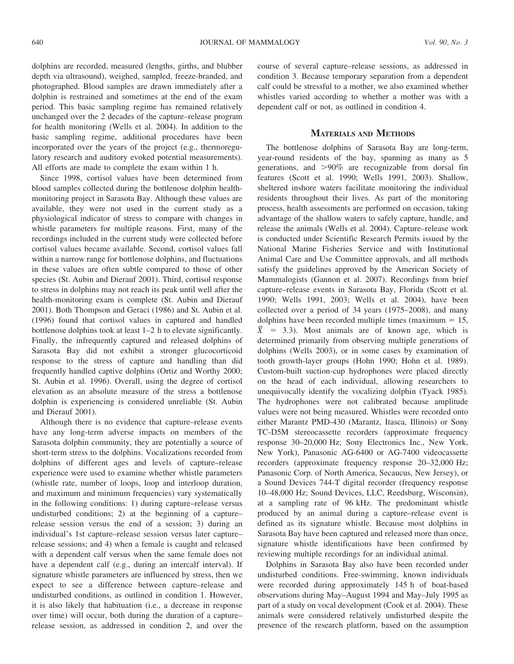dolphins are recorded, measured (lengths, girths, and blubber depth via ultrasound), weighed, sampled, freeze-branded, and photographed. Blood samples are drawn immediately after a dolphin is restrained and sometimes at the end of the exam period. This basic sampling regime has remained relatively unchanged over the 2 decades of the capture–release program for health monitoring (Wells et al. 2004). In addition to the basic sampling regime, additional procedures have been incorporated over the years of the project (e.g., thermoregulatory research and auditory evoked potential measurements). All efforts are made to complete the exam within 1 h.

Since 1998, cortisol values have been determined from blood samples collected during the bottlenose dolphin healthmonitoring project in Sarasota Bay. Although these values are available, they were not used in the current study as a physiological indicator of stress to compare with changes in whistle parameters for multiple reasons. First, many of the recordings included in the current study were collected before cortisol values became available. Second, cortisol values fall within a narrow range for bottlenose dolphins, and fluctuations in these values are often subtle compared to those of other species (St. Aubin and Dierauf 2001). Third, cortisol response to stress in dolphins may not reach its peak until well after the health-monitoring exam is complete (St. Aubin and Dierauf 2001). Both Thompson and Geraci (1986) and St. Aubin et al. (1996) found that cortisol values in captured and handled bottlenose dolphins took at least 1–2 h to elevate significantly. Finally, the infrequently captured and released dolphins of Sarasota Bay did not exhibit a stronger glucocorticoid response to the stress of capture and handling than did frequently handled captive dolphins (Ortiz and Worthy 2000; St. Aubin et al. 1996). Overall, using the degree of cortisol elevation as an absolute measure of the stress a bottlenose dolphin is experiencing is considered unreliable (St. Aubin and Dierauf 2001).

Although there is no evidence that capture–release events have any long-term adverse impacts on members of the Sarasota dolphin community, they are potentially a source of short-term stress to the dolphins. Vocalizations recorded from dolphins of different ages and levels of capture–release experience were used to examine whether whistle parameters (whistle rate, number of loops, loop and interloop duration, and maximum and minimum frequencies) vary systematically in the following conditions: 1) during capture–release versus undisturbed conditions; 2) at the beginning of a capture– release session versus the end of a session; 3) during an individual's 1st capture–release session versus later capture– release sessions; and 4) when a female is caught and released with a dependent calf versus when the same female does not have a dependent calf (e.g., during an intercalf interval). If signature whistle parameters are influenced by stress, then we expect to see a difference between capture–release and undisturbed conditions, as outlined in condition 1. However, it is also likely that habituation (i.e., a decrease in response over time) will occur, both during the duration of a capture– release session, as addressed in condition 2, and over the course of several capture–release sessions, as addressed in condition 3. Because temporary separation from a dependent calf could be stressful to a mother, we also examined whether whistles varied according to whether a mother was with a dependent calf or not, as outlined in condition 4.

# MATERIALS AND METHODS

The bottlenose dolphins of Sarasota Bay are long-term, year-round residents of the bay, spanning as many as 5 generations, and  $>90\%$  are recognizable from dorsal fin features (Scott et al. 1990; Wells 1991, 2003). Shallow, sheltered inshore waters facilitate monitoring the individual residents throughout their lives. As part of the monitoring process, health assessments are performed on occasion, taking advantage of the shallow waters to safely capture, handle, and release the animals (Wells et al. 2004). Capture–release work is conducted under Scientific Research Permits issued by the National Marine Fisheries Service and with Institutional Animal Care and Use Committee approvals, and all methods satisfy the guidelines approved by the American Society of Mammalogists (Gannon et al. 2007). Recordings from brief capture–release events in Sarasota Bay, Florida (Scott et al. 1990; Wells 1991, 2003; Wells et al. 2004), have been collected over a period of 34 years (1975–2008), and many dolphins have been recorded multiple times (maximum  $= 15$ , dolphins have been recorded multiple times (maximum  $= 1.5$ ,  $\bar{X} = 3.3$ ). Most animals are of known age, which is determined primarily from observing multiple generations of dolphins (Wells 2003), or in some cases by examination of tooth growth-layer groups (Hohn 1990; Hohn et al. 1989). Custom-built suction-cup hydrophones were placed directly on the head of each individual, allowing researchers to unequivocally identify the vocalizing dolphin (Tyack 1985). The hydrophones were not calibrated because amplitude values were not being measured. Whistles were recorded onto either Marantz PMD-430 (Marantz, Itasca, Illinois) or Sony TC-D5M stereocassette recorders (approximate frequency response 30–20,000 Hz; Sony Electronics Inc., New York, New York), Panasonic AG-6400 or AG-7400 videocassette recorders (approximate frequency response 20–32,000 Hz; Panasonic Corp. of North America, Secaucus, New Jersey), or a Sound Devices 744-T digital recorder (frequency response 10–48,000 Hz; Sound Devices, LLC, Reedsburg, Wisconsin), at a sampling rate of 96 kHz. The predominant whistle produced by an animal during a capture–release event is defined as its signature whistle. Because most dolphins in Sarasota Bay have been captured and released more than once, signature whistle identifications have been confirmed by reviewing multiple recordings for an individual animal.

Dolphins in Sarasota Bay also have been recorded under undisturbed conditions. Free-swimming, known individuals were recorded during approximately 145 h of boat-based observations during May–August 1994 and May–July 1995 as part of a study on vocal development (Cook et al. 2004). These animals were considered relatively undisturbed despite the presence of the research platform, based on the assumption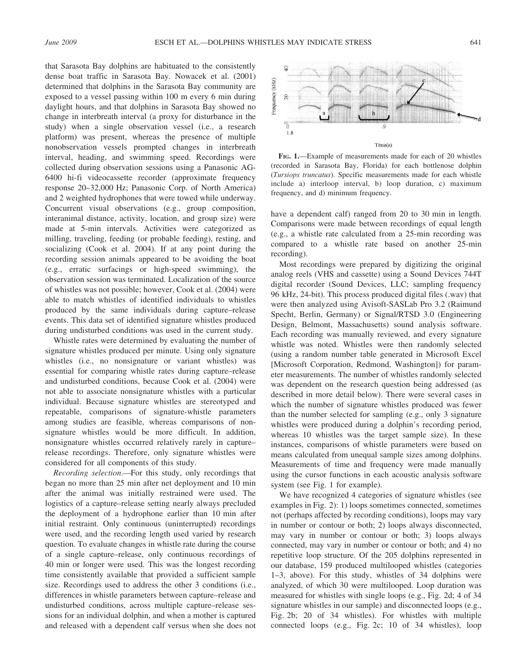that Sarasota Bay dolphins are habituated to the consistently dense boat traffic in Sarasota Bay. Nowacek et al. (2001) determined that dolphins in the Sarasota Bay community are exposed to a vessel passing within 100 m every 6 min during daylight hours, and that dolphins in Sarasota Bay showed no change in interbreath interval (a proxy for disturbance in the study) when a single observation vessel (i.e., a research platform) was present, whereas the presence of multiple nonobservation vessels prompted changes in interbreath interval, heading, and swimming speed. Recordings were collected during observation sessions using a Panasonic AG-6400 hi-fi videocassette recorder (approximate frequency response 20–32,000 Hz; Panasonic Corp. of North America) and 2 weighted hydrophones that were towed while underway. Concurrent visual observations (e.g., group composition, interanimal distance, activity, location, and group size) were made at 5-min intervals. Activities were categorized as milling, traveling, feeding (or probable feeding), resting, and socializing (Cook et al. 2004). If at any point during the recording session animals appeared to be avoiding the boat (e.g., erratic surfacings or high-speed swimming), the observation session was terminated. Localization of the source of whistles was not possible; however, Cook et al. (2004) were able to match whistles of identified individuals to whistles produced by the same individuals during capture–release events. This data set of identified signature whistles produced during undisturbed conditions was used in the current study.

Whistle rates were determined by evaluating the number of signature whistles produced per minute. Using only signature whistles (i.e., no nonsignature or variant whistles) was essential for comparing whistle rates during capture–release and undisturbed conditions, because Cook et al. (2004) were not able to associate nonsignature whistles with a particular individual. Because signature whistles are stereotyped and repeatable, comparisons of signature-whistle parameters among studies are feasible, whereas comparisons of nonsignature whistles would be more difficult. In addition, nonsignature whistles occurred relatively rarely in capture– release recordings. Therefore, only signature whistles were considered for all components of this study.

Recording selection.—For this study, only recordings that began no more than 25 min after net deployment and 10 min after the animal was initially restrained were used. The logistics of a capture–release setting nearly always precluded the deployment of a hydrophone earlier than 10 min after initial restraint. Only continuous (uninterrupted) recordings were used, and the recording length used varied by research question. To evaluate changes in whistle rate during the course of a single capture–release, only continuous recordings of 40 min or longer were used. This was the longest recording time consistently available that provided a sufficient sample size. Recordings used to address the other 3 conditions (i.e., differences in whistle parameters between capture–release and undisturbed conditions, across multiple capture–release sessions for an individual dolphin, and when a mother is captured and released with a dependent calf versus when she does not



FIG. 1.—Example of measurements made for each of 20 whistles (recorded in Sarasota Bay, Florida) for each bottlenose dolphin (Tursiops truncatus). Specific measurements made for each whistle include a) interloop interval, b) loop duration, c) maximum frequency, and d) minimum frequency.

have a dependent calf) ranged from 20 to 30 min in length. Comparisons were made between recordings of equal length (e.g., a whistle rate calculated from a 25-min recording was compared to a whistle rate based on another 25-min recording).

Most recordings were prepared by digitizing the original analog reels (VHS and cassette) using a Sound Devices 744T digital recorder (Sound Devices, LLC; sampling frequency 96 kHz, 24-bit). This process produced digital files (.wav) that were then analyzed using Avisoft-SASLab Pro 3.2 (Raimund Specht, Berlin, Germany) or Signal/RTSD 3.0 (Engineering Design, Belmont, Massachusetts) sound analysis software. Each recording was manually reviewed, and every signature whistle was noted. Whistles were then randomly selected (using a random number table generated in Microsoft Excel [Microsoft Corporation, Redmond, Washington]) for parameter measurements. The number of whistles randomly selected was dependent on the research question being addressed (as described in more detail below). There were several cases in which the number of signature whistles produced was fewer than the number selected for sampling (e.g., only 3 signature whistles were produced during a dolphin's recording period, whereas 10 whistles was the target sample size). In these instances, comparisons of whistle parameters were based on means calculated from unequal sample sizes among dolphins. Measurements of time and frequency were made manually using the cursor functions in each acoustic analysis software system (see Fig. 1 for example).

We have recognized 4 categories of signature whistles (see examples in Fig. 2): 1) loops sometimes connected, sometimes not (perhaps affected by recording conditions), loops may vary in number or contour or both; 2) loops always disconnected, may vary in number or contour or both; 3) loops always connected, may vary in number or contour or both; and 4) no repetitive loop structure. Of the 205 dolphins represented in our database, 159 produced multilooped whistles (categories 1–3, above). For this study, whistles of 34 dolphins were analyzed, of which 30 were multilooped. Loop duration was measured for whistles with single loops (e.g., Fig. 2d; 4 of 34 signature whistles in our sample) and disconnected loops (e.g., Fig. 2b; 20 of 34 whistles). For whistles with multiple connected loops (e.g., Fig. 2c; 10 of 34 whistles), loop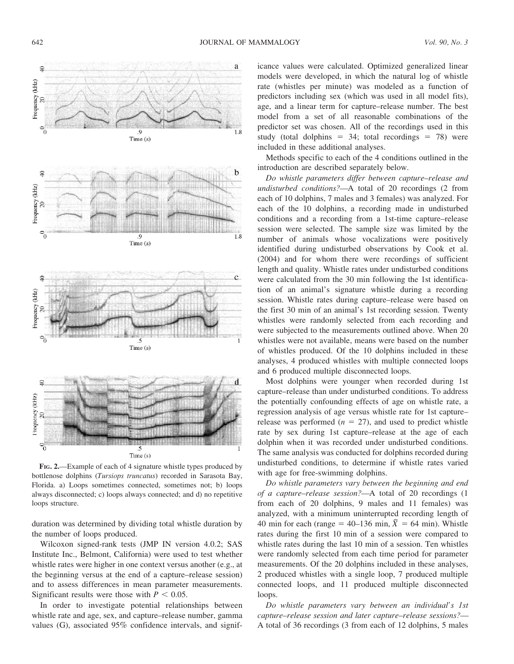

FIG. 2.—Example of each of 4 signature whistle types produced by bottlenose dolphins (Tursiops truncatus) recorded in Sarasota Bay, Florida. a) Loops sometimes connected, sometimes not; b) loops always disconnected; c) loops always connected; and d) no repetitive loops structure.

duration was determined by dividing total whistle duration by the number of loops produced.

Wilcoxon signed-rank tests (JMP IN version 4.0.2; SAS Institute Inc., Belmont, California) were used to test whether whistle rates were higher in one context versus another (e.g., at the beginning versus at the end of a capture–release session) and to assess differences in mean parameter measurements. Significant results were those with  $P < 0.05$ .

In order to investigate potential relationships between whistle rate and age, sex, and capture–release number, gamma values (G), associated 95% confidence intervals, and significance values were calculated. Optimized generalized linear models were developed, in which the natural log of whistle rate (whistles per minute) was modeled as a function of predictors including sex (which was used in all model fits), age, and a linear term for capture–release number. The best model from a set of all reasonable combinations of the predictor set was chosen. All of the recordings used in this study (total dolphins  $= 34$ ; total recordings  $= 78$ ) were included in these additional analyses.

Methods specific to each of the 4 conditions outlined in the introduction are described separately below.

Do whistle parameters differ between capture–release and undisturbed conditions?—A total of 20 recordings (2 from each of 10 dolphins, 7 males and 3 females) was analyzed. For each of the 10 dolphins, a recording made in undisturbed conditions and a recording from a 1st-time capture–release session were selected. The sample size was limited by the number of animals whose vocalizations were positively identified during undisturbed observations by Cook et al. (2004) and for whom there were recordings of sufficient length and quality. Whistle rates under undisturbed conditions were calculated from the 30 min following the 1st identification of an animal's signature whistle during a recording session. Whistle rates during capture–release were based on the first 30 min of an animal's 1st recording session. Twenty whistles were randomly selected from each recording and were subjected to the measurements outlined above. When 20 whistles were not available, means were based on the number of whistles produced. Of the 10 dolphins included in these analyses, 4 produced whistles with multiple connected loops and 6 produced multiple disconnected loops.

Most dolphins were younger when recorded during 1st capture–release than under undisturbed conditions. To address the potentially confounding effects of age on whistle rate, a regression analysis of age versus whistle rate for 1st capture– release was performed  $(n = 27)$ , and used to predict whistle rate by sex during 1st capture–release at the age of each dolphin when it was recorded under undisturbed conditions. The same analysis was conducted for dolphins recorded during undisturbed conditions, to determine if whistle rates varied with age for free-swimming dolphins.

Do whistle parameters vary between the beginning and end of a capture–release session?—A total of 20 recordings (1 from each of 20 dolphins, 9 males and 11 females) was analyzed, with a minimum uninterrupted recording length of anaryzed, with a minimum uninterrupted recording length of 40 min for each (range =  $40-136$  min,  $\bar{X} = 64$  min). Whistle rates during the first 10 min of a session were compared to whistle rates during the last 10 min of a session. Ten whistles were randomly selected from each time period for parameter measurements. Of the 20 dolphins included in these analyses, 2 produced whistles with a single loop, 7 produced multiple connected loops, and 11 produced multiple disconnected loops.

Do whistle parameters vary between an individual's 1st capture–release session and later capture–release sessions?— A total of 36 recordings (3 from each of 12 dolphins, 5 males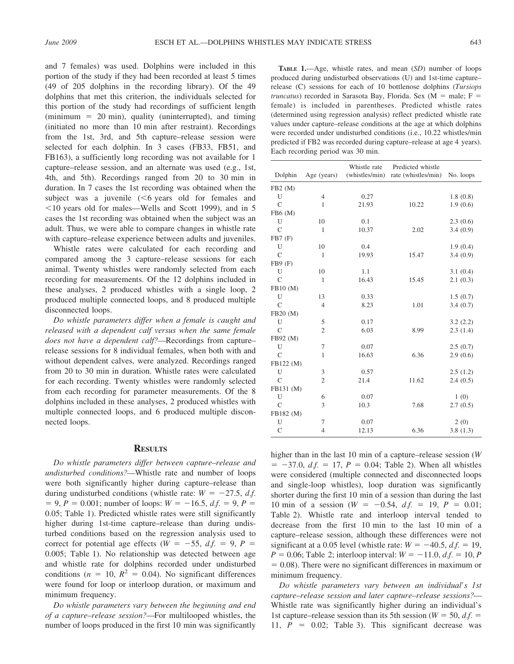and 7 females) was used. Dolphins were included in this portion of the study if they had been recorded at least 5 times (49 of 205 dolphins in the recording library). Of the 49 dolphins that met this criterion, the individuals selected for this portion of the study had recordings of sufficient length  $(\text{minimum} = 20 \text{ min})$ , quality (uninterrupted), and timing (initiated no more than 10 min after restraint). Recordings from the 1st, 3rd, and 5th capture–release session were selected for each dolphin. In 3 cases (FB33, FB51, and FB163), a sufficiently long recording was not available for 1 capture–release session, and an alternate was used (e.g., 1st, 4th, and 5th). Recordings ranged from 20 to 30 min in duration. In 7 cases the 1st recording was obtained when the subject was a juvenile  $(< 6$  years old for females and  $\leq$ 10 years old for males—Wells and Scott 1999), and in 5 cases the 1st recording was obtained when the subject was an adult. Thus, we were able to compare changes in whistle rate with capture–release experience between adults and juveniles.

Whistle rates were calculated for each recording and compared among the 3 capture–release sessions for each animal. Twenty whistles were randomly selected from each recording for measurements. Of the 12 dolphins included in these analyses, 2 produced whistles with a single loop, 2 produced multiple connected loops, and 8 produced multiple disconnected loops.

Do whistle parameters differ when a female is caught and released with a dependent calf versus when the same female does not have a dependent calf?—Recordings from capture– release sessions for 8 individual females, when both with and without dependent calves, were analyzed. Recordings ranged from 20 to 30 min in duration. Whistle rates were calculated for each recording. Twenty whistles were randomly selected from each recording for parameter measurements. Of the 8 dolphins included in these analyses, 2 produced whistles with multiple connected loops, and 6 produced multiple disconnected loops.

# **RESULTS**

Do whistle parameters differ between capture–release and undisturbed conditions?—Whistle rate and number of loops were both significantly higher during capture–release than during undisturbed conditions (whistle rate:  $W = -27.5$ , d.f.  $= 9, P = 0.001$ ; number of loops:  $W = -16.5, d.f. = 9, P = 16$ 0.05; Table 1). Predicted whistle rates were still significantly higher during 1st-time capture–release than during undisturbed conditions based on the regression analysis used to correct for potential age effects ( $W = -55$ ,  $d.f. = 9$ ,  $P =$ 0.005; Table 1). No relationship was detected between age and whistle rate for dolphins recorded under undisturbed conditions ( $n = 10$ ,  $R^2 = 0.04$ ). No significant differences were found for loop or interloop duration, or maximum and minimum frequency.

Do whistle parameters vary between the beginning and end of a capture–release session?—For multilooped whistles, the number of loops produced in the first 10 min was significantly

|               |                | Predicted whistle<br>Whistle rate |                     |           |
|---------------|----------------|-----------------------------------|---------------------|-----------|
| Dolphin       | Age (years)    | (whistles/min)                    | rate (whistles/min) | No. loops |
| FB2(M)        |                |                                   |                     |           |
| U             | $\overline{4}$ | 0.27                              |                     | 1.8(0.8)  |
| $\mathcal{C}$ | 1              | 21.93                             | 10.22               | 1.9(0.6)  |
| FB6 (M)       |                |                                   |                     |           |
| U             | 10             | 0.1                               |                     | 2.3(0.6)  |
| $\mathcal{C}$ | $\mathbf{1}$   | 10.37                             | 2.02                | 3.4(0.9)  |
| FB7(F)        |                |                                   |                     |           |
| U             | 10             | 0.4                               |                     | 1.9(0.4)  |
| $\mathcal{C}$ | 1              | 19.93                             | 15.47               | 3.4(0.9)  |
| FB9(F)        |                |                                   |                     |           |
| U             | 10             | 1.1                               |                     | 3.1(0.4)  |
| $\mathcal{C}$ | $\mathbf{1}$   | 16.43                             | 15.45               | 2.1(0.3)  |
| FB10 (M)      |                |                                   |                     |           |
| U             | 13             | 0.33                              |                     | 1.5(0.7)  |
| $\mathcal{C}$ | $\overline{4}$ | 8.23                              | 1.01                | 3.4(0.7)  |
| FB20 (M)      |                |                                   |                     |           |
| U             | 5              | 0.17                              |                     | 3.2(2.2)  |
| $\mathcal{C}$ | $\overline{c}$ | 6.03                              | 8.99                | 2.3(1.4)  |
| FB92 (M)      |                |                                   |                     |           |
| U             | 7              | 0.07                              |                     | 2.5(0.7)  |
| $\mathcal{C}$ | 1              | 16.63                             | 6.36                | 2.9(0.6)  |
| FB122 (M)     |                |                                   |                     |           |
| U             | 3              | 0.57                              |                     | 2.5(1.2)  |
| $\mathcal{C}$ | $\overline{c}$ | 21.4                              | 11.62               | 2.4(0.5)  |
| FB131 (M)     |                |                                   |                     |           |
| U             | 6              | 0.07                              |                     | 1(0)      |
| $\mathsf{C}$  | 3              | 10.3                              | 7.68                | 2.7(0.5)  |
| FB182 (M)     |                |                                   |                     |           |
| U             | 7              | 0.07                              |                     | 2(0)      |
| $\mathcal{C}$ | $\overline{4}$ | 12.13                             | 6.36                | 3.8(1.3)  |

higher than in the last 10 min of a capture–release session (W  $= -37.0$ ,  $df = 17$ ,  $P = 0.04$ ; Table 2). When all whistles were considered (multiple connected and disconnected loops and single-loop whistles), loop duration was significantly shorter during the first 10 min of a session than during the last 10 min of a session (W =  $-0.54$ , d.f. = 19, P = 0.01; Table 2). Whistle rate and interloop interval tended to decrease from the first 10 min to the last 10 min of a capture–release session, although these differences were not significant at a 0.05 level (whistle rate:  $W = -40.5$ ,  $d.f. = 19$ ,  $P = 0.06$ ; Table 2; interloop interval:  $W = -11.0$ ,  $d.f. = 10$ , P  $= 0.08$ ). There were no significant differences in maximum or minimum frequency.

Do whistle parameters vary between an individual's 1st capture–release session and later capture–release sessions?— Whistle rate was significantly higher during an individual's 1st capture–release session than its 5th session ( $W = 50$ ,  $d.f. =$ 11,  $P = 0.02$ ; Table 3). This significant decrease was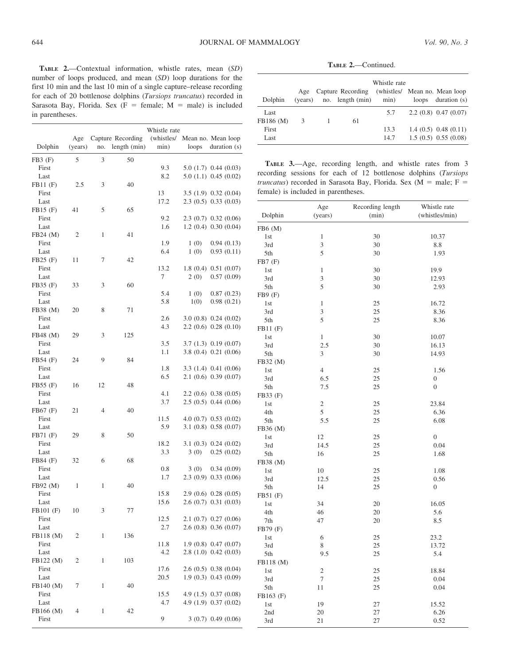TABLE 2.—Contextual information, whistle rates, mean (SD) number of loops produced, and mean (SD) loop durations for the first 10 min and the last 10 min of a single capture–release recording for each of 20 bottlenose dolphins (Tursiops truncatus) recorded in Sarasota Bay, Florida. Sex  $(F = female; M = male)$  is included in parentheses.

|            |                |              |                                   | Whistle rate |       |                                               | First          |
|------------|----------------|--------------|-----------------------------------|--------------|-------|-----------------------------------------------|----------------|
| Dolphin    | Age<br>(years) | no.          | Capture Recording<br>length (min) | min)         | loops | (whistles/ Mean no. Mean loop<br>duration (s) | Last           |
| $FB3$ (F)  | 5              | 3            | 50                                |              |       |                                               |                |
| First      |                |              |                                   | 9.3          |       | $5.0(1.7)$ 0.44 (0.03)                        | TABLE $3-$     |
| Last       |                |              |                                   | 8.2          |       | $5.0(1.1)$ 0.45 $(0.02)$                      | recording ses  |
| FB11 (F)   | 2.5            | 3            | 40                                |              |       |                                               | truncatus) rec |
| First      |                |              |                                   | 13           |       | $3.5(1.9)$ 0.32 $(0.04)$                      | female) is inc |
| Last       |                |              |                                   | 17.2         |       | $2.3(0.5)$ 0.33 $(0.03)$                      |                |
| $FB15$ (F) | 41             | 5            | 65                                |              |       |                                               |                |
| First      |                |              |                                   | 9.2          |       | $2.3(0.7)$ 0.32 (0.06)                        | Dolphin        |
| Last       |                |              |                                   | 1.6          |       | 1.2(0.4)0.30(0.04)                            | $FB6$ (M)      |
| FB24 (M)   | 2              | $\mathbf{1}$ | 41                                |              |       |                                               | 1st            |
| First      |                |              |                                   | 1.9          | 1(0)  | 0.94(0.13)                                    | 3rd            |
| Last       |                |              |                                   | 6.4          | 1(0)  | 0.93(0.11)                                    | 5th            |
| $FB25$ (F) | 11             | 7            | 42                                |              |       |                                               | FB7(F)         |
| First      |                |              |                                   | 13.2         |       | 1.8(0.4)0.51(0.07)                            | 1st            |
| Last       |                |              |                                   | 7            | 2(0)  | 0.57(0.09)                                    | 3rd            |
| FB35 (F)   | 33             | 3            | 60                                |              |       |                                               | 5th            |
| First      |                |              |                                   | 5.4          | 1(0)  | 0.87(0.23)                                    | FB9(F)         |
| Last       |                |              |                                   | 5.8          | 1(0)  | 0.98(0.21)                                    | 1st            |
| FB38 (M)   | 20             | 8            | 71                                |              |       |                                               | 3rd            |
| First      |                |              |                                   | 2.6          |       | 3.0(0.8) 0.24(0.02)                           | 5th            |
| Last       |                |              |                                   | 4.3          |       | $2.2(0.6)$ 0.28 $(0.10)$                      | FB11(F)        |
| FB48 (M)   | 29             | 3            | 125                               |              |       |                                               | 1st            |
| First      |                |              |                                   | 3.5          |       | $3.7(1.3)$ 0.19 $(0.07)$                      | 3rd            |
| Last       |                |              |                                   | 1.1          |       | 3.8(0.4)0.21(0.06)                            | 5th            |
| FB54 (F)   | 24             | 9            | 84                                |              |       |                                               | FB32 (M)       |
| First      |                |              |                                   | 1.8          |       | $3.3(1.4)$ 0.41 $(0.06)$                      | 1st            |
| Last       |                |              |                                   | 6.5          |       | 2.1(0.6) 0.39(0.07)                           | 3rd            |
| FB55 (F)   | 16             | 12           | 48                                |              |       |                                               | 5th            |
| First      |                |              |                                   | 4.1          |       | $2.2(0.6)$ 0.38 $(0.05)$                      | FB33 (F)       |
| Last       |                |              |                                   | 3.7          |       | $2.5(0.5)$ 0.44 $(0.06)$                      | 1st            |
| FB67 (F)   | 21             | 4            | 40                                |              |       |                                               | 4th            |
| First      |                |              |                                   | 11.5         |       | $4.0(0.7)$ $0.53(0.02)$                       | 5th            |
| Last       |                |              |                                   | 5.9          |       | $3.1(0.8)$ $0.58(0.07)$                       | FB36 (M)       |
| FB71 (F)   | 29             | 8            | 50                                |              |       |                                               | 1st            |
| First      |                |              |                                   | 18.2         |       | 3.1(0.3) 0.24(0.02)                           | 3rd            |
| Last       |                |              |                                   | 3.3          | 3(0)  | 0.25(0.02)                                    | 5th            |
| FB84 (F)   | 32             | 6            | 68                                |              |       |                                               | FB38 (M)       |
| First      |                |              |                                   | 0.8          | 3(0)  | 0.34(0.09)                                    | 1st            |
| Last       |                |              |                                   | 1.7          |       | $2.3(0.9)$ 0.33 $(0.06)$                      | 3rd            |
| FB92 (M)   | 1              | 1            | 40                                |              |       |                                               | 5th            |
| First      |                |              |                                   | 15.8         |       | $2.9(0.6)$ 0.28 $(0.05)$                      | FB51 (F)       |
| Last       |                |              |                                   | 15.6         |       | 2.6(0.7) 0.31(0.03)                           | 1st            |
| FB101 (F)  | 10             | 3            | 77                                |              |       |                                               | 4th            |
| First      |                |              |                                   | 12.5         |       | $2.1(0.7)$ 0.27 $(0.06)$                      | 7th            |
| Last       |                |              |                                   | 2.7          |       | $2.6(0.8)$ 0.36 $(0.07)$                      | FB79 (F)       |
| FB118 (M)  | 2              | $\mathbf{1}$ | 136                               |              |       |                                               | 1st            |
| First      |                |              |                                   | 11.8         |       | $1.9(0.8)$ 0.47 $(0.07)$                      | 3rd            |
| Last       |                |              |                                   | 4.2          |       | 2.8(1.0) 0.42(0.03)                           | 5th            |
| FB122 (M)  | 2              | $\mathbf{1}$ | 103                               |              |       |                                               | FB118 (M)      |
| First      |                |              |                                   | 17.6         |       | $2.6(0.5)$ 0.38 $(0.04)$                      | 1st            |
| Last       |                |              |                                   | 20.5         |       | $1.9(0.3)$ 0.43 $(0.09)$                      | 3rd            |
| FB140 (M)  | 7              | $\mathbf{1}$ | 40                                |              |       |                                               | 5th            |
| First      |                |              |                                   | 15.5         |       | $4.9(1.5)$ 0.37 (0.08)                        | FB163 (F)      |
| Last       |                |              |                                   | 4.7          |       | $4.9(1.9)$ $0.37(0.02)$                       | 1st            |
| FB166 (M)  | 4              | 1            | 42                                |              |       |                                               | 2nd            |
| First      |                |              |                                   | 9            |       | 3(0.7) 0.49(0.06)                             |                |
|            |                |              |                                   |              |       |                                               | 3rd            |

TABLE 2.—Continued.

|                    | Whistle rate |  |                                                                             |      |  |                          |
|--------------------|--------------|--|-----------------------------------------------------------------------------|------|--|--------------------------|
| Dolphin            | Age          |  | Capture Recording (whistles/ Mean no. Mean loop<br>(years) no. length (min) | min) |  | loops duration (s)       |
| Last               |              |  |                                                                             | 5.7  |  | $2.2(0.8)$ 0.47 $(0.07)$ |
| FB186 (M)<br>First | 3            |  | 61                                                                          | 13.3 |  | $1.4(0.5)$ 0.48 $(0.11)$ |
| Last               |              |  |                                                                             | 14.7 |  | $1.5(0.5)$ 0.55 (0.08)   |

-Age, recording length, and whistle rates from 3 ssions for each of 12 bottlenose dolphins (Tursiops truncatus) recorded in Sarasota Bay, Florida. Sex (M = male; F = cluded in parentheses.

| Dolphin   | Age<br>(years) | Recording length<br>(min) | Whistle rate<br>(whistles/min) |
|-----------|----------------|---------------------------|--------------------------------|
| $FB6$ (M) |                |                           |                                |
| 1st       | $\mathbf{1}$   | 30                        | 10.37                          |
| 3rd       | 3              | 30                        | 8.8                            |
| 5th       | 5              | 30                        | 1.93                           |
| FB7(F)    |                |                           |                                |
| 1st       | $\mathbf{1}$   | 30                        | 19.9                           |
| 3rd       | 3              | 30                        | 12.93                          |
| 5th       | 5              | 30                        | 2.93                           |
| FB9 (F)   |                |                           |                                |
| 1st       | $\mathbf{1}$   | 25                        | 16.72                          |
| 3rd       | 3              | 25                        | 8.36                           |
| 5th       | 5              | 25                        | 8.36                           |
| FB11(F)   |                |                           |                                |
| 1st       | $\mathbf{1}$   | 30                        | 10.07                          |
| 3rd       | 2.5            | 30                        | 16.13                          |
| 5th       | 3              | 30                        | 14.93                          |
| FB32 (M)  |                |                           |                                |
| 1st       | $\overline{4}$ | 25                        | 1.56                           |
| 3rd       | 6.5            | 25                        | $\boldsymbol{0}$               |
| 5th       | 7.5            | 25                        | $\overline{0}$                 |
| FB33 (F)  |                |                           |                                |
| 1st       | $\overline{c}$ | 25                        | 23.84                          |
| 4th       | 5              | 25                        | 6.36                           |
| 5th       | 5.5            | 25                        | 6.08                           |
| FB36 (M)  |                |                           |                                |
| 1st       | 12             | 25                        | $\overline{0}$                 |
| 3rd       | 14.5           | 25                        | 0.04                           |
| 5th       | 16             | 25                        | 1.68                           |
| FB38 (M)  |                |                           |                                |
| $1st$     | $10\,$         | 25                        | 1.08                           |
| 3rd       | 12.5           | 25                        | 0.56                           |
| 5th       | 14             | 25                        | 0                              |
| FB51 (F)  |                |                           |                                |
| 1st       | 34             | 20                        | 16.05                          |
| 4th       | 46             | 20                        | 5.6                            |
| 7th       | 47             | 20                        | 8.5                            |
| FB79 (F)  |                |                           |                                |
| 1st       | 6              | 25                        | 23.2                           |
| 3rd       | 8              | 25                        | 13.72                          |
| 5th       | 9.5            | 25                        | 5.4                            |
| FB118 (M) |                |                           |                                |
| 1st       | $\mathfrak{2}$ | 25                        | 18.84                          |
| 3rd       | 7              | 25                        | 0.04                           |
| 5th       | 11             | 25                        | 0.04                           |
| FB163 (F) |                |                           |                                |
| 1st       | 19             | 27                        | 15.52                          |
| 2nd       | 20             | 27                        | 6.26                           |
|           |                |                           |                                |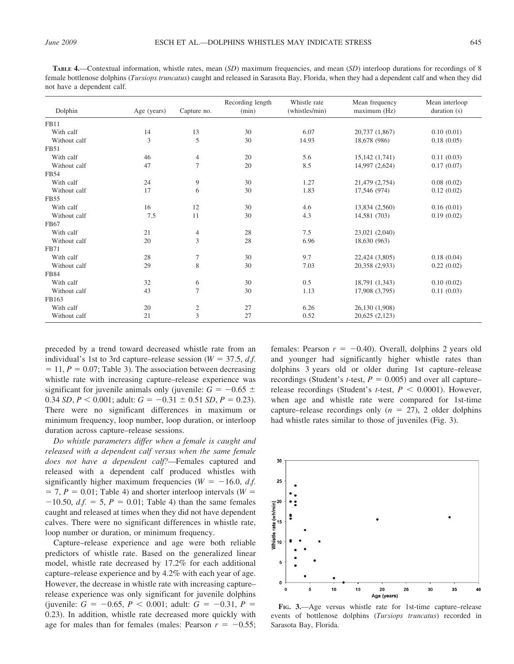TABLE 4.—Contextual information, whistle rates, mean  $(SD)$  maximum frequencies, and mean  $(SD)$  interloop durations for recordings of 8 female bottlenose dolphins (Tursiops truncatus) caught and released in Sarasota Bay, Florida, when they had a dependent calf and when they did not have a dependent calf.

| Dolphin      | Age (years) | Capture no.    | Recording length<br>(min) | Whistle rate<br>(whistles/min) | Mean frequency<br>maximum (Hz) | Mean interloop<br>duration (s) |
|--------------|-------------|----------------|---------------------------|--------------------------------|--------------------------------|--------------------------------|
| <b>FB11</b>  |             |                |                           |                                |                                |                                |
| With calf    | 14          | 13             | 30                        | 6.07                           | 20,737 (1,867)                 | 0.10(0.01)                     |
| Without calf | 3           | 5              | 30                        | 14.93                          | 18,678 (986)                   | 0.18(0.05)                     |
| <b>FB51</b>  |             |                |                           |                                |                                |                                |
| With calf    | 46          | 4              | 20                        | 5.6                            | 15,142 (1,741)                 | 0.11(0.03)                     |
| Without calf | 47          | $\tau$         | 20                        | 8.5                            | 14,997 (2,624)                 | 0.17(0.07)                     |
| <b>FB54</b>  |             |                |                           |                                |                                |                                |
| With calf    | 24          | 9              | 30                        | 1.27                           | 21,479 (2,754)                 | 0.08(0.02)                     |
| Without calf | 17          | 6              | 30                        | 1.83                           | 17,546 (974)                   | 0.12(0.02)                     |
| <b>FB55</b>  |             |                |                           |                                |                                |                                |
| With calf    | 16          | 12             | 30                        | 4.6                            | 13,834 (2,560)                 | 0.16(0.01)                     |
| Without calf | 7.5         | 11             | 30                        | 4.3                            | 14,581 (703)                   | 0.19(0.02)                     |
| <b>FB67</b>  |             |                |                           |                                |                                |                                |
| With calf    | 21          | $\overline{4}$ | 28                        | 7.5                            | 23,021 (2,040)                 |                                |
| Without calf | 20          | 3              | 28                        | 6.96                           | 18,630 (963)                   |                                |
| <b>FB71</b>  |             |                |                           |                                |                                |                                |
| With calf    | 28          | 7              | 30                        | 9.7                            | 22,424 (3,805)                 | 0.18(0.04)                     |
| Without calf | 29          | 8              | 30                        | 7.03                           | 20,358 (2,933)                 | 0.22(0.02)                     |
| <b>FB84</b>  |             |                |                           |                                |                                |                                |
| With calf    | 32          | 6              | 30                        | 0.5                            | 18,791 (1,343)                 | 0.10(0.02)                     |
| Without calf | 43          | $\tau$         | 30                        | 1.13                           | 17,908 (3,795)                 | 0.11(0.03)                     |
| FB163        |             |                |                           |                                |                                |                                |
| With calf    | 20          | $\overline{c}$ | 27                        | 6.26                           | 26,130 (1,908)                 |                                |
| Without calf | 21          | 3              | 27                        | 0.52                           | 20,625 (2,123)                 |                                |

preceded by a trend toward decreased whistle rate from an individual's 1st to 3rd capture–release session ( $W = 37.5$ , d.f.  $= 11, P = 0.07$ ; Table 3). The association between decreasing whistle rate with increasing capture–release experience was significant for juvenile animals only (juvenile:  $G = -0.65 \pm 0.65$ 0.34 SD,  $P < 0.001$ ; adult:  $G = -0.31 \pm 0.51$  SD,  $P = 0.23$ ). There were no significant differences in maximum or minimum frequency, loop number, loop duration, or interloop duration across capture–release sessions.

Do whistle parameters differ when a female is caught and released with a dependent calf versus when the same female does not have a dependent calf?—Females captured and released with a dependent calf produced whistles with significantly higher maximum frequencies ( $W = -16.0$ , d.f.  $= 7, P = 0.01$ ; Table 4) and shorter interloop intervals (W =  $-10.50$ ,  $df = 5$ ,  $P = 0.01$ ; Table 4) than the same females caught and released at times when they did not have dependent calves. There were no significant differences in whistle rate, loop number or duration, or minimum frequency.

Capture–release experience and age were both reliable predictors of whistle rate. Based on the generalized linear model, whistle rate decreased by 17.2% for each additional capture–release experience and by 4.2% with each year of age. However, the decrease in whistle rate with increasing capture– release experience was only significant for juvenile dolphins (juvenile:  $G = -0.65$ ,  $P < 0.001$ ; adult:  $G = -0.31$ ,  $P =$ 0.23). In addition, whistle rate decreased more quickly with age for males than for females (males: Pearson  $r = -0.55$ ; females: Pearson  $r = -0.40$ ). Overall, dolphins 2 years old and younger had significantly higher whistle rates than dolphins 3 years old or older during 1st capture–release recordings (Student's *t*-test,  $P = 0.005$ ) and over all capture– release recordings (Student's *t*-test,  $P < 0.0001$ ). However, when age and whistle rate were compared for 1st-time capture–release recordings only  $(n = 27)$ , 2 older dolphins had whistle rates similar to those of juveniles (Fig. 3).



FIG. 3.—Age versus whistle rate for 1st-time capture–release events of bottlenose dolphins (Tursiops truncatus) recorded in Sarasota Bay, Florida.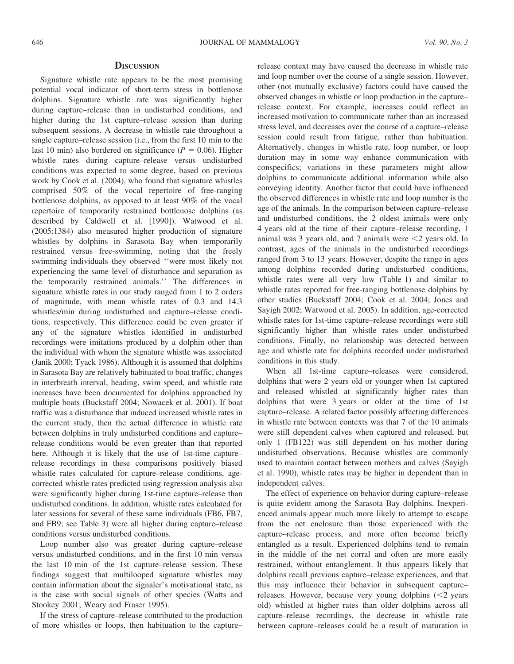#### **DISCUSSION**

Signature whistle rate appears to be the most promising potential vocal indicator of short-term stress in bottlenose dolphins. Signature whistle rate was significantly higher during capture–release than in undisturbed conditions, and higher during the 1st capture–release session than during subsequent sessions. A decrease in whistle rate throughout a single capture–release session (i.e., from the first 10 min to the last 10 min) also bordered on significance ( $P = 0.06$ ). Higher whistle rates during capture–release versus undisturbed conditions was expected to some degree, based on previous work by Cook et al. (2004), who found that signature whistles comprised 50% of the vocal repertoire of free-ranging bottlenose dolphins, as opposed to at least 90% of the vocal repertoire of temporarily restrained bottlenose dolphins (as described by Caldwell et al. [1990]). Watwood et al. (2005:1384) also measured higher production of signature whistles by dolphins in Sarasota Bay when temporarily restrained versus free-swimming, noting that the freely swimming individuals they observed ''were most likely not experiencing the same level of disturbance and separation as the temporarily restrained animals.'' The differences in signature whistle rates in our study ranged from 1 to 2 orders of magnitude, with mean whistle rates of 0.3 and 14.3 whistles/min during undisturbed and capture–release conditions, respectively. This difference could be even greater if any of the signature whistles identified in undisturbed recordings were imitations produced by a dolphin other than the individual with whom the signature whistle was associated (Janik 2000; Tyack 1986). Although it is assumed that dolphins in Sarasota Bay are relatively habituated to boat traffic, changes in interbreath interval, heading, swim speed, and whistle rate increases have been documented for dolphins approached by multiple boats (Buckstaff 2004; Nowacek et al. 2001). If boat traffic was a disturbance that induced increased whistle rates in the current study, then the actual difference in whistle rate between dolphins in truly undisturbed conditions and capture– release conditions would be even greater than that reported here. Although it is likely that the use of 1st-time capture– release recordings in these comparisons positively biased whistle rates calculated for capture–release conditions, agecorrected whistle rates predicted using regression analysis also were significantly higher during 1st-time capture–release than undisturbed conditions. In addition, whistle rates calculated for later sessions for several of these same individuals (FB6, FB7, and FB9; see Table 3) were all higher during capture–release conditions versus undisturbed conditions.

Loop number also was greater during capture–release versus undisturbed conditions, and in the first 10 min versus the last 10 min of the 1st capture–release session. These findings suggest that multilooped signature whistles may contain information about the signaler's motivational state, as is the case with social signals of other species (Watts and Stookey 2001; Weary and Fraser 1995).

If the stress of capture–release contributed to the production of more whistles or loops, then habituation to the capture– release context may have caused the decrease in whistle rate and loop number over the course of a single session. However, other (not mutually exclusive) factors could have caused the observed changes in whistle or loop production in the capture– release context. For example, increases could reflect an increased motivation to communicate rather than an increased stress level, and decreases over the course of a capture–release session could result from fatigue, rather than habituation. Alternatively, changes in whistle rate, loop number, or loop duration may in some way enhance communication with conspecifics; variations in these parameters might allow dolphins to communicate additional information while also conveying identity. Another factor that could have influenced the observed differences in whistle rate and loop number is the age of the animals. In the comparison between capture–release and undisturbed conditions, the 2 oldest animals were only 4 years old at the time of their capture–release recording, 1 animal was 3 years old, and 7 animals were  $\leq$  years old. In contrast, ages of the animals in the undisturbed recordings ranged from 3 to 13 years. However, despite the range in ages among dolphins recorded during undisturbed conditions, whistle rates were all very low (Table 1) and similar to whistle rates reported for free-ranging bottlenose dolphins by other studies (Buckstaff 2004; Cook et al. 2004; Jones and Sayigh 2002; Watwood et al. 2005). In addition, age-corrected whistle rates for 1st-time capture–release recordings were still significantly higher than whistle rates under undisturbed conditions. Finally, no relationship was detected between age and whistle rate for dolphins recorded under undisturbed conditions in this study.

When all 1st-time capture–releases were considered, dolphins that were 2 years old or younger when 1st captured and released whistled at significantly higher rates than dolphins that were 3 years or older at the time of 1st capture–release. A related factor possibly affecting differences in whistle rate between contexts was that 7 of the 10 animals were still dependent calves when captured and released, but only 1 (FB122) was still dependent on his mother during undisturbed observations. Because whistles are commonly used to maintain contact between mothers and calves (Sayigh et al. 1990), whistle rates may be higher in dependent than in independent calves.

The effect of experience on behavior during capture–release is quite evident among the Sarasota Bay dolphins. Inexperienced animals appear much more likely to attempt to escape from the net enclosure than those experienced with the capture–release process, and more often become briefly entangled as a result. Experienced dolphins tend to remain in the middle of the net corral and often are more easily restrained, without entanglement. It thus appears likely that dolphins recall previous capture–release experiences, and that this may influence their behavior in subsequent capture– releases. However, because very young dolphins  $\ll 2$  years old) whistled at higher rates than older dolphins across all capture–release recordings, the decrease in whistle rate between capture–releases could be a result of maturation in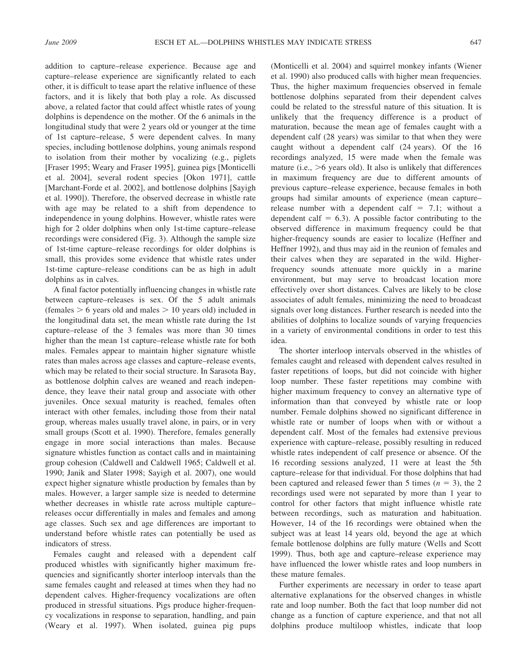addition to capture–release experience. Because age and capture–release experience are significantly related to each other, it is difficult to tease apart the relative influence of these factors, and it is likely that both play a role. As discussed above, a related factor that could affect whistle rates of young dolphins is dependence on the mother. Of the 6 animals in the longitudinal study that were 2 years old or younger at the time of 1st capture–release, 5 were dependent calves. In many species, including bottlenose dolphins, young animals respond to isolation from their mother by vocalizing (e.g., piglets [Fraser 1995; Weary and Fraser 1995], guinea pigs [Monticelli et al. 2004], several rodent species [Okon 1971], cattle [Marchant-Forde et al. 2002], and bottlenose dolphins [Sayigh et al. 1990]). Therefore, the observed decrease in whistle rate with age may be related to a shift from dependence to independence in young dolphins. However, whistle rates were high for 2 older dolphins when only 1st-time capture–release recordings were considered (Fig. 3). Although the sample size of 1st-time capture–release recordings for older dolphins is small, this provides some evidence that whistle rates under 1st-time capture–release conditions can be as high in adult dolphins as in calves.

A final factor potentially influencing changes in whistle rate between capture–releases is sex. Of the 5 adult animals (females  $> 6$  years old and males  $> 10$  years old) included in the longitudinal data set, the mean whistle rate during the 1st capture–release of the 3 females was more than 30 times higher than the mean 1st capture–release whistle rate for both males. Females appear to maintain higher signature whistle rates than males across age classes and capture–release events, which may be related to their social structure. In Sarasota Bay, as bottlenose dolphin calves are weaned and reach independence, they leave their natal group and associate with other juveniles. Once sexual maturity is reached, females often interact with other females, including those from their natal group, whereas males usually travel alone, in pairs, or in very small groups (Scott et al. 1990). Therefore, females generally engage in more social interactions than males. Because signature whistles function as contact calls and in maintaining group cohesion (Caldwell and Caldwell 1965; Caldwell et al. 1990; Janik and Slater 1998; Sayigh et al. 2007), one would expect higher signature whistle production by females than by males. However, a larger sample size is needed to determine whether decreases in whistle rate across multiple capture– releases occur differentially in males and females and among age classes. Such sex and age differences are important to understand before whistle rates can potentially be used as indicators of stress.

Females caught and released with a dependent calf produced whistles with significantly higher maximum frequencies and significantly shorter interloop intervals than the same females caught and released at times when they had no dependent calves. Higher-frequency vocalizations are often produced in stressful situations. Pigs produce higher-frequency vocalizations in response to separation, handling, and pain (Weary et al. 1997). When isolated, guinea pig pups (Monticelli et al. 2004) and squirrel monkey infants (Wiener et al. 1990) also produced calls with higher mean frequencies. Thus, the higher maximum frequencies observed in female bottlenose dolphins separated from their dependent calves could be related to the stressful nature of this situation. It is unlikely that the frequency difference is a product of maturation, because the mean age of females caught with a dependent calf (28 years) was similar to that when they were caught without a dependent calf (24 years). Of the 16 recordings analyzed, 15 were made when the female was mature (i.e.,  $>6$  years old). It also is unlikely that differences in maximum frequency are due to different amounts of previous capture–release experience, because females in both groups had similar amounts of experience (mean capture– release number with a dependent calf  $= 7.1$ ; without a dependent calf  $= 6.3$ ). A possible factor contributing to the observed difference in maximum frequency could be that higher-frequency sounds are easier to localize (Heffner and Heffner 1992), and thus may aid in the reunion of females and their calves when they are separated in the wild. Higherfrequency sounds attenuate more quickly in a marine environment, but may serve to broadcast location more effectively over short distances. Calves are likely to be close associates of adult females, minimizing the need to broadcast signals over long distances. Further research is needed into the abilities of dolphins to localize sounds of varying frequencies in a variety of environmental conditions in order to test this idea.

The shorter interloop intervals observed in the whistles of females caught and released with dependent calves resulted in faster repetitions of loops, but did not coincide with higher loop number. These faster repetitions may combine with higher maximum frequency to convey an alternative type of information than that conveyed by whistle rate or loop number. Female dolphins showed no significant difference in whistle rate or number of loops when with or without a dependent calf. Most of the females had extensive previous experience with capture–release, possibly resulting in reduced whistle rates independent of calf presence or absence. Of the 16 recording sessions analyzed, 11 were at least the 5th capture–release for that individual. For those dolphins that had been captured and released fewer than 5 times ( $n = 3$ ), the 2 recordings used were not separated by more than 1 year to control for other factors that might influence whistle rate between recordings, such as maturation and habituation. However, 14 of the 16 recordings were obtained when the subject was at least 14 years old, beyond the age at which female bottlenose dolphins are fully mature (Wells and Scott 1999). Thus, both age and capture–release experience may have influenced the lower whistle rates and loop numbers in these mature females.

Further experiments are necessary in order to tease apart alternative explanations for the observed changes in whistle rate and loop number. Both the fact that loop number did not change as a function of capture experience, and that not all dolphins produce multiloop whistles, indicate that loop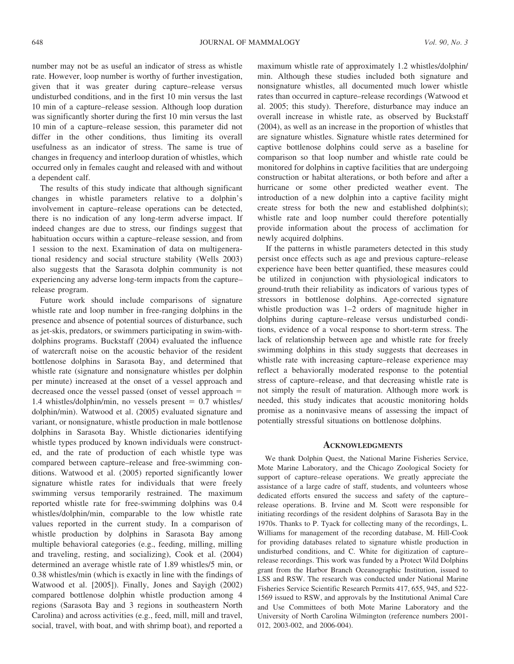number may not be as useful an indicator of stress as whistle rate. However, loop number is worthy of further investigation, given that it was greater during capture–release versus undisturbed conditions, and in the first 10 min versus the last 10 min of a capture–release session. Although loop duration was significantly shorter during the first 10 min versus the last 10 min of a capture–release session, this parameter did not differ in the other conditions, thus limiting its overall usefulness as an indicator of stress. The same is true of changes in frequency and interloop duration of whistles, which occurred only in females caught and released with and without a dependent calf.

The results of this study indicate that although significant changes in whistle parameters relative to a dolphin's involvement in capture–release operations can be detected, there is no indication of any long-term adverse impact. If indeed changes are due to stress, our findings suggest that habituation occurs within a capture–release session, and from 1 session to the next. Examination of data on multigenerational residency and social structure stability (Wells 2003) also suggests that the Sarasota dolphin community is not experiencing any adverse long-term impacts from the capture– release program.

Future work should include comparisons of signature whistle rate and loop number in free-ranging dolphins in the presence and absence of potential sources of disturbance, such as jet-skis, predators, or swimmers participating in swim-withdolphins programs. Buckstaff (2004) evaluated the influence of watercraft noise on the acoustic behavior of the resident bottlenose dolphins in Sarasota Bay, and determined that whistle rate (signature and nonsignature whistles per dolphin per minute) increased at the onset of a vessel approach and decreased once the vessel passed (onset of vessel approach  $=$ 1.4 whistles/dolphin/min, no vessels present  $= 0.7$  whistles/ dolphin/min). Watwood et al. (2005) evaluated signature and variant, or nonsignature, whistle production in male bottlenose dolphins in Sarasota Bay. Whistle dictionaries identifying whistle types produced by known individuals were constructed, and the rate of production of each whistle type was compared between capture–release and free-swimming conditions. Watwood et al. (2005) reported significantly lower signature whistle rates for individuals that were freely swimming versus temporarily restrained. The maximum reported whistle rate for free-swimming dolphins was 0.4 whistles/dolphin/min, comparable to the low whistle rate values reported in the current study. In a comparison of whistle production by dolphins in Sarasota Bay among multiple behavioral categories (e.g., feeding, milling, milling and traveling, resting, and socializing), Cook et al. (2004) determined an average whistle rate of 1.89 whistles/5 min, or 0.38 whistles/min (which is exactly in line with the findings of Watwood et al. [2005]). Finally, Jones and Sayigh (2002) compared bottlenose dolphin whistle production among 4 regions (Sarasota Bay and 3 regions in southeastern North Carolina) and across activities (e.g., feed, mill, mill and travel, social, travel, with boat, and with shrimp boat), and reported a

maximum whistle rate of approximately 1.2 whistles/dolphin/ min. Although these studies included both signature and nonsignature whistles, all documented much lower whistle rates than occurred in capture–release recordings (Watwood et al. 2005; this study). Therefore, disturbance may induce an overall increase in whistle rate, as observed by Buckstaff (2004), as well as an increase in the proportion of whistles that are signature whistles. Signature whistle rates determined for captive bottlenose dolphins could serve as a baseline for comparison so that loop number and whistle rate could be monitored for dolphins in captive facilities that are undergoing construction or habitat alterations, or both before and after a hurricane or some other predicted weather event. The introduction of a new dolphin into a captive facility might create stress for both the new and established dolphin(s); whistle rate and loop number could therefore potentially provide information about the process of acclimation for newly acquired dolphins.

If the patterns in whistle parameters detected in this study persist once effects such as age and previous capture–release experience have been better quantified, these measures could be utilized in conjunction with physiological indicators to ground-truth their reliability as indicators of various types of stressors in bottlenose dolphins. Age-corrected signature whistle production was 1–2 orders of magnitude higher in dolphins during capture–release versus undisturbed conditions, evidence of a vocal response to short-term stress. The lack of relationship between age and whistle rate for freely swimming dolphins in this study suggests that decreases in whistle rate with increasing capture–release experience may reflect a behaviorally moderated response to the potential stress of capture–release, and that decreasing whistle rate is not simply the result of maturation. Although more work is needed, this study indicates that acoustic monitoring holds promise as a noninvasive means of assessing the impact of potentially stressful situations on bottlenose dolphins.

## **ACKNOWLEDGMENTS**

We thank Dolphin Quest, the National Marine Fisheries Service, Mote Marine Laboratory, and the Chicago Zoological Society for support of capture–release operations. We greatly appreciate the assistance of a large cadre of staff, students, and volunteers whose dedicated efforts ensured the success and safety of the capture– release operations. B. Irvine and M. Scott were responsible for initiating recordings of the resident dolphins of Sarasota Bay in the 1970s. Thanks to P. Tyack for collecting many of the recordings, L. Williams for management of the recording database, M. Hill-Cook for providing databases related to signature whistle production in undisturbed conditions, and C. White for digitization of capture– release recordings. This work was funded by a Protect Wild Dolphins grant from the Harbor Branch Oceanographic Institution, issued to LSS and RSW. The research was conducted under National Marine Fisheries Service Scientific Research Permits 417, 655, 945, and 522- 1569 issued to RSW, and approvals by the Institutional Animal Care and Use Committees of both Mote Marine Laboratory and the University of North Carolina Wilmington (reference numbers 2001- 012, 2003-002, and 2006-004).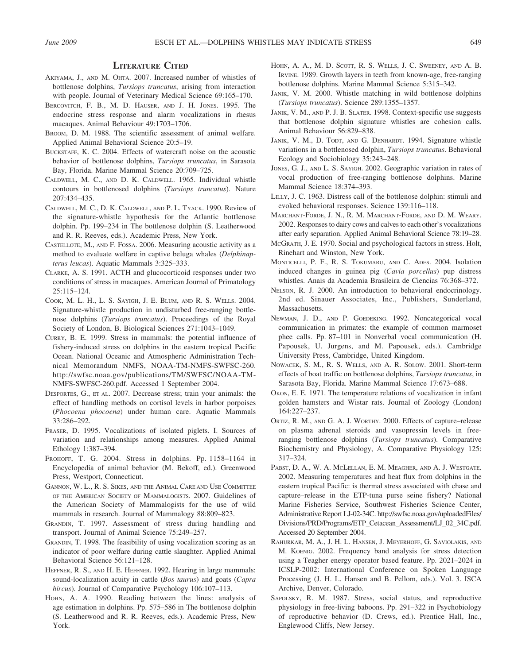# LITERATURE CITED

- AKIYAMA, J., AND M. OHTA. 2007. Increased number of whistles of bottlenose dolphins, Tursiops truncatus, arising from interaction with people. Journal of Veterinary Medical Science 69:165–170.
- BERCOVITCH, F. B., M. D. HAUSER, AND J. H. JONES. 1995. The endocrine stress response and alarm vocalizations in rhesus macaques. Animal Behaviour 49:1703–1706.
- BROOM, D. M. 1988. The scientific assessment of animal welfare. Applied Animal Behavioral Science 20:5–19.
- BUCKSTAFF, K. C. 2004. Effects of watercraft noise on the acoustic behavior of bottlenose dolphins, Tursiops truncatus, in Sarasota Bay, Florida. Marine Mammal Science 20:709–725.
- CALDWELL, M. C., AND D. K. CALDWELL. 1965. Individual whistle contours in bottlenosed dolphins (Tursiops truncatus). Nature 207:434–435.
- CALDWELL, M. C., D. K. CALDWELL, AND P. L. TYACK. 1990. Review of the signature-whistle hypothesis for the Atlantic bottlenose dolphin. Pp. 199–234 in The bottlenose dolphin (S. Leatherwood and R. R. Reeves, eds.). Academic Press, New York.
- CASTELLOTE, M., AND F. FOSSA. 2006. Measuring acoustic activity as a method to evaluate welfare in captive beluga whales (Delphinapterus leucas). Aquatic Mammals 3:325–333.
- CLARKE, A. S. 1991. ACTH and glucocorticoid responses under two conditions of stress in macaques. American Journal of Primatology 25:115–124.
- COOK, M. L. H., L. S. SAYIGH, J. E. BLUM, AND R. S. WELLS. 2004. Signature-whistle production in undisturbed free-ranging bottlenose dolphins (Tursiops truncatus). Proceedings of the Royal Society of London, B. Biological Sciences 271:1043–1049.
- CURRY, B. E. 1999. Stress in mammals: the potential influence of fishery-induced stress on dolphins in the eastern tropical Pacific Ocean. National Oceanic and Atmospheric Administration Technical Memorandum NMFS, NOAA-TM-NMFS-SWFSC-260. http://swfsc.noaa.gov/publications/TM/SWFSC/NOAA-TM-NMFS-SWFSC-260.pdf. Accessed 1 September 2004.
- DESPORTES, G., ET AL. 2007. Decrease stress; train your animals: the effect of handling methods on cortisol levels in harbor porpoises (Phocoena phocoena) under human care. Aquatic Mammals 33:286–292.
- FRASER, D. 1995. Vocalizations of isolated piglets. I. Sources of variation and relationships among measures. Applied Animal Ethology 1:387–394.
- FROHOFF, T. G. 2004. Stress in dolphins. Pp. 1158–1164 in Encyclopedia of animal behavior (M. Bekoff, ed.). Greenwood Press, Westport, Connecticut.
- GANNON, W. L., R. S. SIKES, AND THE ANIMAL CARE AND USE COMMITTEE OF THE AMERICAN SOCIETY OF MAMMALOGISTS. 2007. Guidelines of the American Society of Mammalogists for the use of wild mammals in research. Journal of Mammalogy 88:809–823.
- GRANDIN, T. 1997. Assessment of stress during handling and transport. Journal of Animal Science 75:249–257.
- GRANDIN, T. 1998. The feasibility of using vocalization scoring as an indicator of poor welfare during cattle slaughter. Applied Animal Behavioral Science 56:121–128.
- HEFFNER, R. S., AND H. E. HEFFNER. 1992. Hearing in large mammals: sound-localization acuity in cattle (Bos taurus) and goats (Capra hircus). Journal of Comparative Psychology 106:107-113.
- HOHN, A. A. 1990. Reading between the lines: analysis of age estimation in dolphins. Pp. 575–586 in The bottlenose dolphin (S. Leatherwood and R. R. Reeves, eds.). Academic Press, New York.
- HOHN, A. A., M. D. SCOTT, R. S. WELLS, J. C. SWEENEY, AND A. B. IRVINE. 1989. Growth layers in teeth from known-age, free-ranging bottlenose dolphins. Marine Mammal Science 5:315–342.
- JANIK, V. M. 2000. Whistle matching in wild bottlenose dolphins (Tursiops truncatus). Science 289:1355–1357.
- JANIK, V. M., AND P. J. B. SLATER. 1998. Context-specific use suggests that bottlenose dolphin signature whistles are cohesion calls. Animal Behaviour 56:829–838.
- JANIK, V. M., D. TODT, AND G. DENHARDT. 1994. Signature whistle variations in a bottlenosed dolphin, Tursiops truncatus. Behavioral Ecology and Sociobiology 35:243–248.
- JONES, G. J., AND L. S. SAYIGH. 2002. Geographic variation in rates of vocal production of free-ranging bottlenose dolphins. Marine Mammal Science 18:374–393.
- LILLY, J. C. 1963. Distress call of the bottlenose dolphin: stimuli and evoked behavioral responses. Science 139:116–118.
- MARCHANT-FORDE, J. N., R. M. MARCHANT-FORDE, AND D. M. WEARY. 2002. Responses to dairy cows and calves to each other's vocalizations after early separation. Applied Animal Behavioral Science 78:19–28.
- MCGRATH, J. E. 1970. Social and psychological factors in stress. Holt, Rinehart and Winston, New York.
- MONTICELLI, P. F., R. S. TOKUMARU, AND C. ADES. 2004. Isolation induced changes in guinea pig (Cavia porcellus) pup distress whistles. Anais da Academia Brasileira de Ciencias 76:368–372.
- NELSON, R. J. 2000. An introduction to behavioral endocrinology. 2nd ed. Sinauer Associates, Inc., Publishers, Sunderland, Massachusetts.
- NEWMAN, J. D., AND P. GOEDEKING. 1992. Noncategorical vocal communication in primates: the example of common marmoset phee calls. Pp. 87–101 in Nonverbal vocal communication (H. Papousek, U. Jurgens, and M. Papousek, eds.). Cambridge University Press, Cambridge, United Kingdom.
- NOWACEK, S. M., R. S. WELLS, AND A. R. SOLOW. 2001. Short-term effects of boat traffic on bottlenose dolphins, Tursiops truncatus, in Sarasota Bay, Florida. Marine Mammal Science 17:673–688.
- OKON, E. E. 1971. The temperature relations of vocalization in infant golden hamsters and Wistar rats. Journal of Zoology (London) 164:227–237.
- ORTIZ, R. M., AND G. A. J. WORTHY. 2000. Effects of capture–release on plasma adrenal steroids and vasopressin levels in freeranging bottlenose dolphins (Tursiops truncatus). Comparative Biochemistry and Physiology, A. Comparative Physiology 125: 317–324.
- PABST, D. A., W. A. MCLELLAN, E. M. MEAGHER, AND A. J. WESTGATE. 2002. Measuring temperatures and heat flux from dolphins in the eastern tropical Pacific: is thermal stress associated with chase and capture–release in the ETP-tuna purse seine fishery? National Marine Fisheries Service, Southwest Fisheries Science Center, Administrative Report LJ-02-34C. http://swfsc.noaa.gov/uploadedFiles/ Divisions/PRD/Programs/ETP\_Cetacean\_Assessment/LJ\_02\_34C.pdf. Accessed 20 September 2004.
- RAHURKAR, M. A., J. H. L. HANSEN, J. MEYERHOFF, G. SAVIOLAKIS, AND M. KOENIG. 2002. Frequency band analysis for stress detection using a Teagher energy operator based feature. Pp. 2021–2024 in ICSLP-2002: International Conference on Spoken Language Processing (J. H. L. Hansen and B. Pellom, eds.). Vol. 3. ISCA Archive, Denver, Colorado.
- SAPOLSKY, R. M. 1987. Stress, social status, and reproductive physiology in free-living baboons. Pp. 291–322 in Psychobiology of reproductive behavior (D. Crews, ed.). Prentice Hall, Inc., Englewood Cliffs, New Jersey.